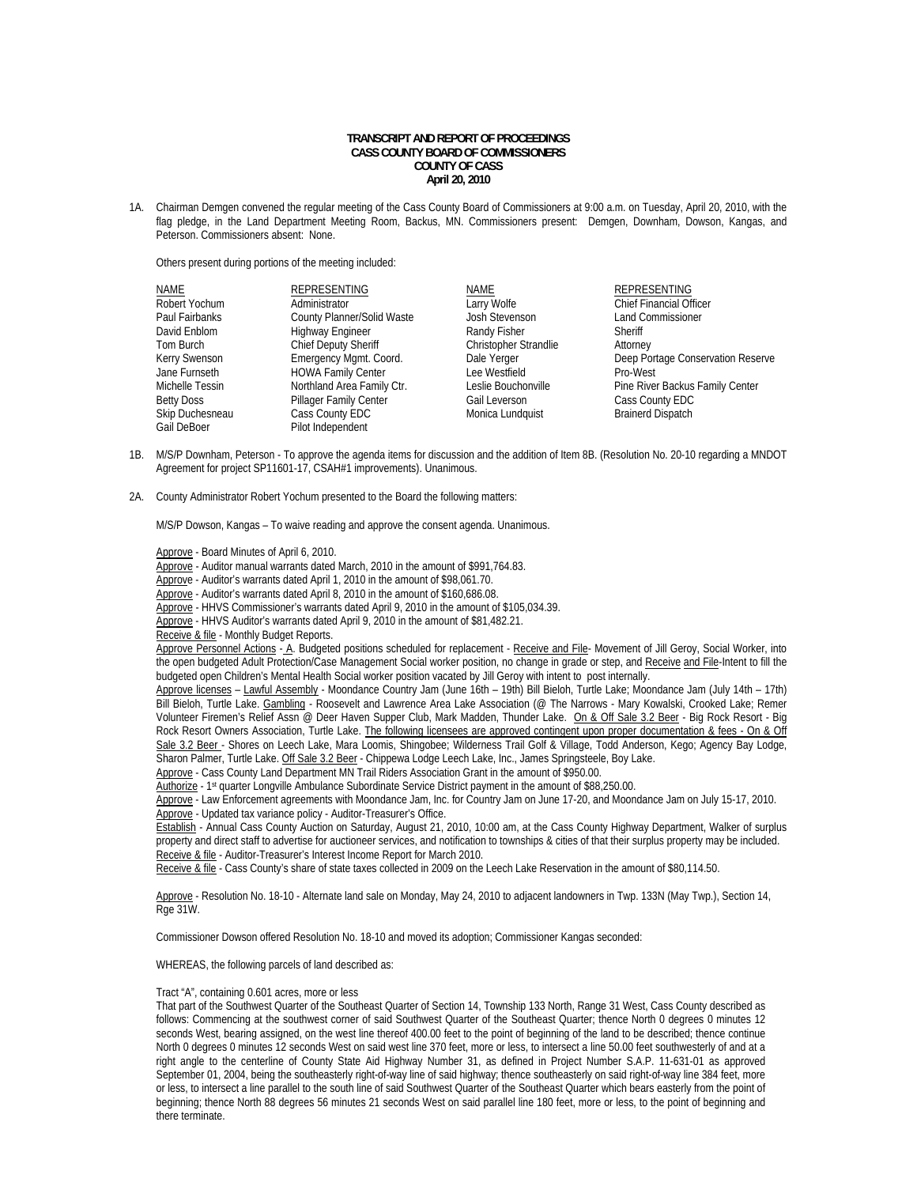# **TRANSCRIPT AND REPORT OF PROCEEDINGS CASS COUNTY BOARD OF COMMISSIONERS COUNTY OF CASS April 20, 2010**

1A. Chairman Demgen convened the regular meeting of the Cass County Board of Commissioners at 9:00 a.m. on Tuesday, April 20, 2010, with the flag pledge, in the Land Department Meeting Room, Backus, MN. Commissioners present: Demgen, Downham, Dowson, Kangas, and Peterson. Commissioners absent: None.

Others present during portions of the meeting included:

| <b>NAME</b>       | <b>REPRESENTING</b>         | NAME                  | <b>REPRESENTING</b>               |
|-------------------|-----------------------------|-----------------------|-----------------------------------|
| Robert Yochum     | Administrator               | Larry Wolfe           | <b>Chief Financial Officer</b>    |
| Paul Fairbanks    | County Planner/Solid Waste  | Josh Stevenson        | <b>Land Commissioner</b>          |
| David Enblom      | <b>Highway Engineer</b>     | Randy Fisher          | Sheriff                           |
| Tom Burch         | <b>Chief Deputy Sheriff</b> | Christopher Strandlie | Attorney                          |
| Kerry Swenson     | Emergency Mgmt. Coord.      | Dale Yerger           | Deep Portage Conservation Reserve |
| Jane Furnseth     | <b>HOWA Family Center</b>   | Lee Westfield         | Pro-West                          |
| Michelle Tessin   | Northland Area Family Ctr.  | Leslie Bouchonville   | Pine River Backus Family Center   |
| <b>Betty Doss</b> | Pillager Family Center      | Gail Leverson         | Cass County EDC                   |
| Skip Duchesneau   | Cass County EDC             | Monica Lundquist      | <b>Brainerd Dispatch</b>          |
| Gail DeBoer       | Pilot Independent           |                       |                                   |

- 1B. M/S/P Downham, Peterson To approve the agenda items for discussion and the addition of Item 8B. (Resolution No. 20-10 regarding a MNDOT Agreement for project SP11601-17, CSAH#1 improvements). Unanimous.
- 2A. County Administrator Robert Yochum presented to the Board the following matters:

M/S/P Dowson, Kangas – To waive reading and approve the consent agenda. Unanimous.

Approve - Board Minutes of April 6, 2010.

Approve - Auditor manual warrants dated March, 2010 in the amount of \$991,764.83.

Approve - Auditor's warrants dated April 1, 2010 in the amount of \$98,061.70.

Approve - Auditor's warrants dated April 8, 2010 in the amount of \$160,686.08.

Approve - HHVS Commissioner's warrants dated April 9, 2010 in the amount of \$105,034.39.

Approve - HHVS Auditor's warrants dated April 9, 2010 in the amount of \$81,482.21.

Receive & file - Monthly Budget Reports.

Approve Personnel Actions - A. Budgeted positions scheduled for replacement - Receive and File- Movement of Jill Geroy, Social Worker, into the open budgeted Adult Protection/Case Management Social worker position, no change in grade or step, and Receive and File-Intent to fill the budgeted open Children's Mental Health Social worker position vacated by Jill Geroy with intent to post internally.

Approve licenses – Lawful Assembly - Moondance Country Jam (June 16th – 19th) Bill Bieloh, Turtle Lake; Moondance Jam (July 14th – 17th) Bill Bieloh, Turtle Lake. Gambling - Roosevelt and Lawrence Area Lake Association (@ The Narrows - Mary Kowalski, Crooked Lake; Remer Volunteer Firemen's Relief Assn @ Deer Haven Supper Club, Mark Madden, Thunder Lake. On & Off Sale 3.2 Beer - Big Rock Resort - Big Rock Resort Owners Association, Turtle Lake. The following licensees are approved contingent upon proper documentation & fees - On & Off Sale 3.2 Beer - Shores on Leech Lake, Mara Loomis, Shingobee; Wilderness Trail Golf & Village, Todd Anderson, Kego; Agency Bay Lodge, Sharon Palmer, Turtle Lake. Off Sale 3.2 Beer - Chippewa Lodge Leech Lake, Inc., James Springsteele, Boy Lake. Approve - Cass County Land Department MN Trail Riders Association Grant in the amount of \$950.00.

Authorize - 1st quarter Longville Ambulance Subordinate Service District payment in the amount of \$88,250.00.

 Approve - Law Enforcement agreements with Moondance Jam, Inc. for Country Jam on June 17-20, and Moondance Jam on July 15-17, 2010. Approve - Updated tax variance policy - Auditor-Treasurer's Office.

 Establish - Annual Cass County Auction on Saturday, August 21, 2010, 10:00 am, at the Cass County Highway Department, Walker of surplus property and direct staff to advertise for auctioneer services, and notification to townships & cities of that their surplus property may be included. Receive & file - Auditor-Treasurer's Interest Income Report for March 2010.

Receive & file - Cass County's share of state taxes collected in 2009 on the Leech Lake Reservation in the amount of \$80,114.50.

Approve - Resolution No. 18-10 - Alternate land sale on Monday, May 24, 2010 to adjacent landowners in Twp. 133N (May Twp.), Section 14, Rge 31W.

Commissioner Dowson offered Resolution No. 18-10 and moved its adoption; Commissioner Kangas seconded:

WHEREAS, the following parcels of land described as:

## Tract "A", containing 0.601 acres, more or less

That part of the Southwest Quarter of the Southeast Quarter of Section 14, Township 133 North, Range 31 West, Cass County described as follows: Commencing at the southwest corner of said Southwest Quarter of the Southeast Quarter; thence North 0 degrees 0 minutes 12 seconds West, bearing assigned, on the west line thereof 400.00 feet to the point of beginning of the land to be described; thence continue North 0 degrees 0 minutes 12 seconds West on said west line 370 feet, more or less, to intersect a line 50.00 feet southwesterly of and at a right angle to the centerline of County State Aid Highway Number 31, as defined in Project Number S.A.P. 11-631-01 as approved September 01, 2004, being the southeasterly right-of-way line of said highway; thence southeasterly on said right-of-way line 384 feet, more or less, to intersect a line parallel to the south line of said Southwest Quarter of the Southeast Quarter which bears easterly from the point of beginning; thence North 88 degrees 56 minutes 21 seconds West on said parallel line 180 feet, more or less, to the point of beginning and there terminate.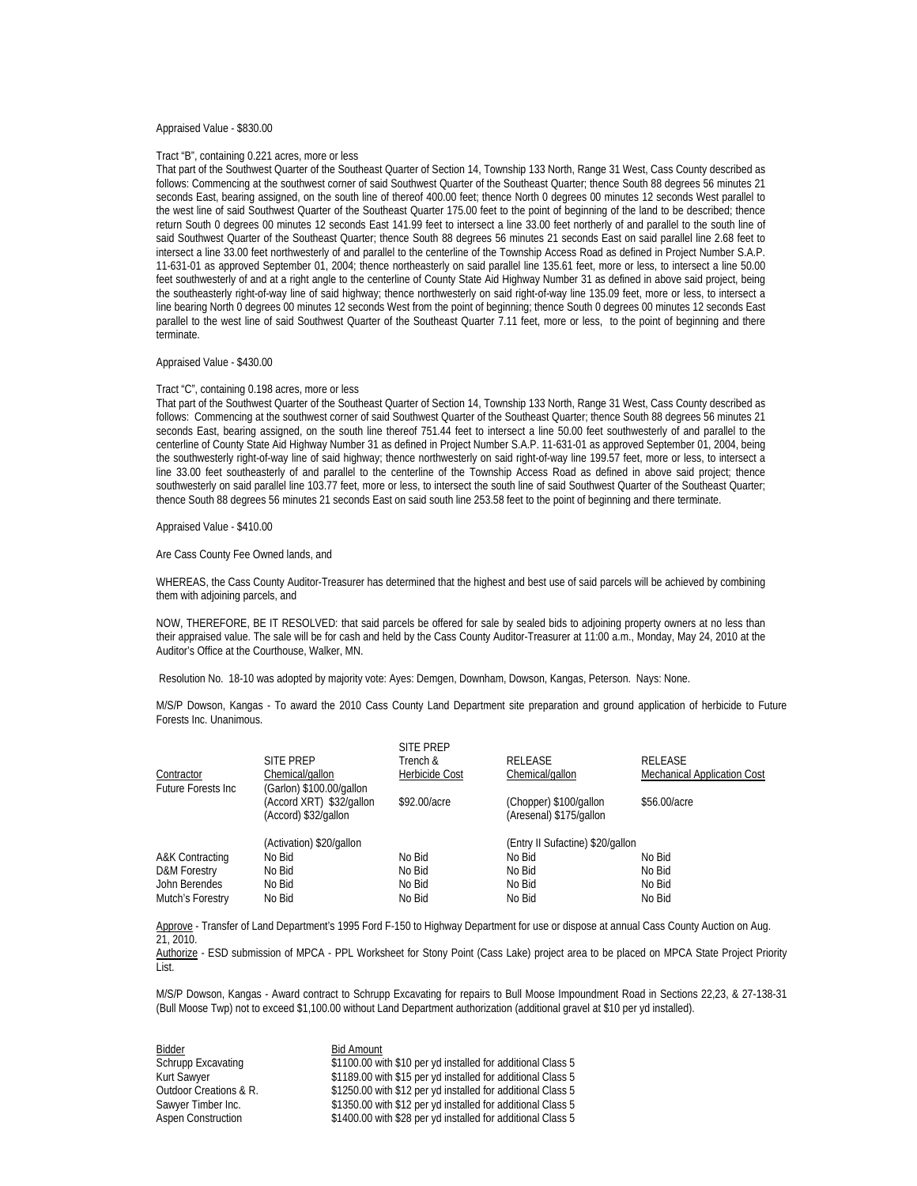### Appraised Value - \$830.00

### Tract "B", containing 0.221 acres, more or less

That part of the Southwest Quarter of the Southeast Quarter of Section 14, Township 133 North, Range 31 West, Cass County described as follows: Commencing at the southwest corner of said Southwest Quarter of the Southeast Quarter; thence South 88 degrees 56 minutes 21 seconds East, bearing assigned, on the south line of thereof 400.00 feet; thence North 0 degrees 00 minutes 12 seconds West parallel to the west line of said Southwest Quarter of the Southeast Quarter 175.00 feet to the point of beginning of the land to be described; thence return South 0 degrees 00 minutes 12 seconds East 141.99 feet to intersect a line 33.00 feet northerly of and parallel to the south line of said Southwest Quarter of the Southeast Quarter; thence South 88 degrees 56 minutes 21 seconds East on said parallel line 2.68 feet to intersect a line 33.00 feet northwesterly of and parallel to the centerline of the Township Access Road as defined in Project Number S.A.P. 11-631-01 as approved September 01, 2004; thence northeasterly on said parallel line 135.61 feet, more or less, to intersect a line 50.00 feet southwesterly of and at a right angle to the centerline of County State Aid Highway Number 31 as defined in above said project, being the southeasterly right-of-way line of said highway; thence northwesterly on said right-of-way line 135.09 feet, more or less, to intersect a line bearing North 0 degrees 00 minutes 12 seconds West from the point of beginning; thence South 0 degrees 00 minutes 12 seconds East parallel to the west line of said Southwest Quarter of the Southeast Quarter 7.11 feet, more or less, to the point of beginning and there terminate.

## Appraised Value - \$430.00

#### Tract "C", containing 0.198 acres, more or less

That part of the Southwest Quarter of the Southeast Quarter of Section 14, Township 133 North, Range 31 West, Cass County described as follows: Commencing at the southwest corner of said Southwest Quarter of the Southeast Quarter; thence South 88 degrees 56 minutes 21 seconds East, bearing assigned, on the south line thereof 751.44 feet to intersect a line 50.00 feet southwesterly of and parallel to the centerline of County State Aid Highway Number 31 as defined in Project Number S.A.P. 11-631-01 as approved September 01, 2004, being the southwesterly right-of-way line of said highway; thence northwesterly on said right-of-way line 199.57 feet, more or less, to intersect a line 33.00 feet southeasterly of and parallel to the centerline of the Township Access Road as defined in above said project; thence southwesterly on said parallel line 103.77 feet, more or less, to intersect the south line of said Southwest Quarter of the Southeast Quarter; thence South 88 degrees 56 minutes 21 seconds East on said south line 253.58 feet to the point of beginning and there terminate.

## Appraised Value - \$410.00

Are Cass County Fee Owned lands, and

WHEREAS, the Cass County Auditor-Treasurer has determined that the highest and best use of said parcels will be achieved by combining them with adjoining parcels, and

NOW, THEREFORE, BE IT RESOLVED: that said parcels be offered for sale by sealed bids to adjoining property owners at no less than their appraised value. The sale will be for cash and held by the Cass County Auditor-Treasurer at 11:00 a.m., Monday, May 24, 2010 at the Auditor's Office at the Courthouse, Walker, MN.

Resolution No. 18-10 was adopted by majority vote: Ayes: Demgen, Downham, Dowson, Kangas, Peterson. Nays: None.

 M/S/P Dowson, Kangas - To award the 2010 Cass County Land Department site preparation and ground application of herbicide to Future Forests Inc. Unanimous.

|                            | <b>SITE PREP</b>                                                             | <b>SITE PREP</b><br>Trench & | <b>RELEASE</b>                                    | <b>RELEASE</b>                     |
|----------------------------|------------------------------------------------------------------------------|------------------------------|---------------------------------------------------|------------------------------------|
| Contractor                 | Chemical/gallon                                                              | Herbicide Cost               | Chemical/gallon                                   | <b>Mechanical Application Cost</b> |
| <b>Future Forests Inc.</b> | (Garlon) \$100.00/gallon<br>(Accord XRT) \$32/gallon<br>(Accord) \$32/gallon | \$92.00/acre                 | (Chopper) \$100/gallon<br>(Aresenal) \$175/gallon | \$56,00/acre                       |
|                            | (Activation) \$20/gallon                                                     |                              | (Entry II Sufactine) \$20/gallon                  |                                    |
| A&K Contracting            | No Bid                                                                       | No Bid                       | No Bid                                            | No Bid                             |
| D&M Forestry               | No Bid                                                                       | No Bid                       | No Bid                                            | No Bid                             |
| John Berendes              | No Bid                                                                       | No Bid                       | No Bid                                            | No Bid                             |
| Mutch's Forestry           | No Bid                                                                       | No Bid                       | No Bid                                            | No Bid                             |
|                            |                                                                              |                              |                                                   |                                    |

Approve - Transfer of Land Department's 1995 Ford F-150 to Highway Department for use or dispose at annual Cass County Auction on Aug. 21, 2010.

 Authorize - ESD submission of MPCA - PPL Worksheet for Stony Point (Cass Lake) project area to be placed on MPCA State Project Priority List.

 M/S/P Dowson, Kangas - Award contract to Schrupp Excavating for repairs to Bull Moose Impoundment Road in Sections 22,23, & 27-138-31 (Bull Moose Twp) not to exceed \$1,100.00 without Land Department authorization (additional gravel at \$10 per yd installed).

Eidder<br>
Schrupp Excavating<br>
\$1100.00 w

\$1100.00 with \$10 per yd installed for additional Class 5 Kurt Sawyer **\$1189.00** with \$15 per yd installed for additional Class 5 Outdoor Creations & R.  $$1250.00$  with \$12 per yd installed for additional Class 5 Sawyer Timber Inc. **\$1350.00** with \$12 per yd installed for additional Class 5<br>Aspen Construction **1990.00 with \$28** per yd installed for additional Class 5 \$1400.00 with \$28 per yd installed for additional Class 5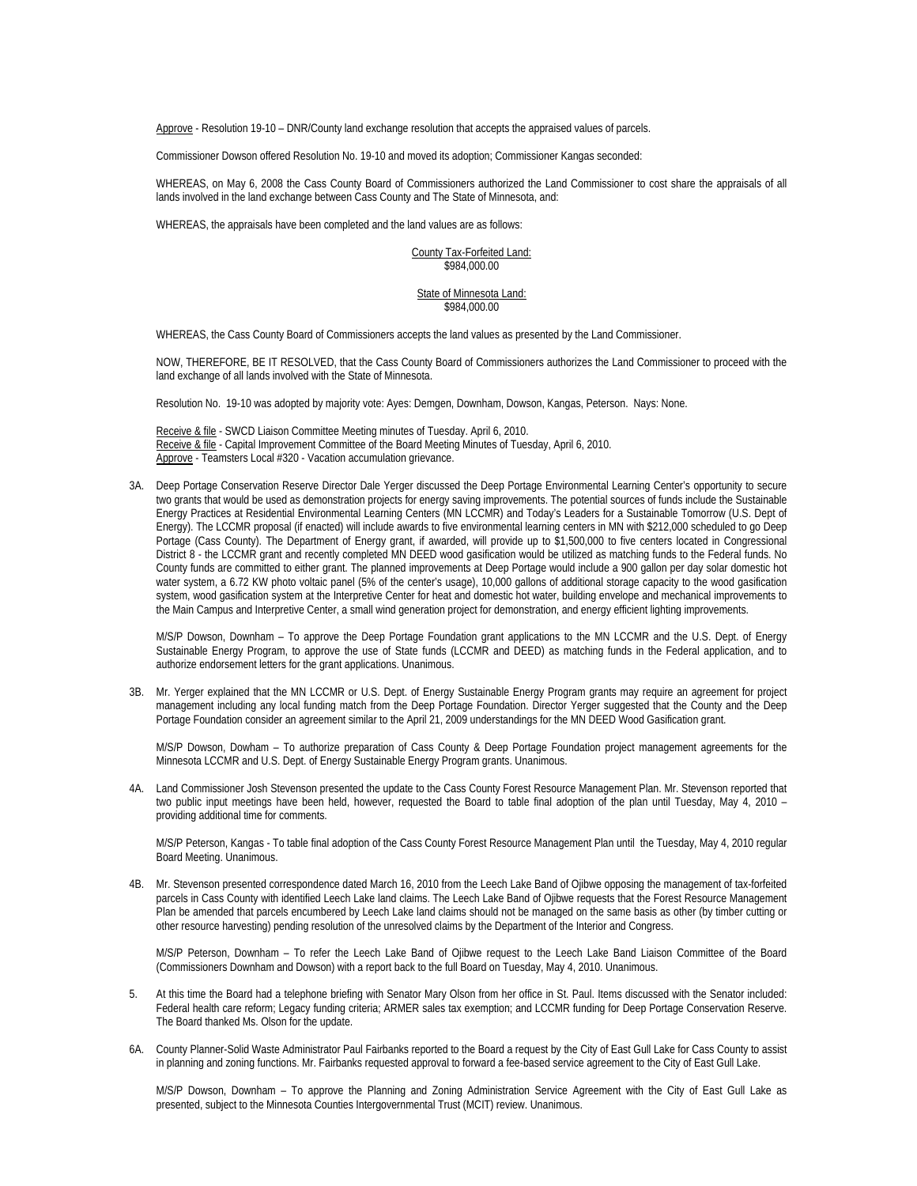Approve - Resolution 19-10 – DNR/County land exchange resolution that accepts the appraised values of parcels.

Commissioner Dowson offered Resolution No. 19-10 and moved its adoption; Commissioner Kangas seconded:

WHEREAS, on May 6, 2008 the Cass County Board of Commissioners authorized the Land Commissioner to cost share the appraisals of all lands involved in the land exchange between Cass County and The State of Minnesota, and:

WHEREAS, the appraisals have been completed and the land values are as follows:

County Tax-Forfeited Land: \$984,000.00

State of Minnesota Land: \$984,000.00

WHEREAS, the Cass County Board of Commissioners accepts the land values as presented by the Land Commissioner.

NOW, THEREFORE, BE IT RESOLVED, that the Cass County Board of Commissioners authorizes the Land Commissioner to proceed with the land exchange of all lands involved with the State of Minnesota.

Resolution No. 19-10 was adopted by majority vote: Ayes: Demgen, Downham, Dowson, Kangas, Peterson. Nays: None.

 Receive & file - SWCD Liaison Committee Meeting minutes of Tuesday. April 6, 2010. Receive & file - Capital Improvement Committee of the Board Meeting Minutes of Tuesday, April 6, 2010. Approve - Teamsters Local #320 - Vacation accumulation grievance.

3A. Deep Portage Conservation Reserve Director Dale Yerger discussed the Deep Portage Environmental Learning Center's opportunity to secure two grants that would be used as demonstration projects for energy saving improvements. The potential sources of funds include the Sustainable Energy Practices at Residential Environmental Learning Centers (MN LCCMR) and Today's Leaders for a Sustainable Tomorrow (U.S. Dept of Energy). The LCCMR proposal (if enacted) will include awards to five environmental learning centers in MN with \$212,000 scheduled to go Deep Portage (Cass County). The Department of Energy grant, if awarded, will provide up to \$1,500,000 to five centers located in Congressional District 8 - the LCCMR grant and recently completed MN DEED wood gasification would be utilized as matching funds to the Federal funds. No County funds are committed to either grant. The planned improvements at Deep Portage would include a 900 gallon per day solar domestic hot water system, a 6.72 KW photo voltaic panel (5% of the center's usage), 10,000 gallons of additional storage capacity to the wood gasification system, wood gasification system at the Interpretive Center for heat and domestic hot water, building envelope and mechanical improvements to the Main Campus and Interpretive Center, a small wind generation project for demonstration, and energy efficient lighting improvements.

 M/S/P Dowson, Downham – To approve the Deep Portage Foundation grant applications to the MN LCCMR and the U.S. Dept. of Energy Sustainable Energy Program, to approve the use of State funds (LCCMR and DEED) as matching funds in the Federal application, and to authorize endorsement letters for the grant applications. Unanimous.

3B. Mr. Yerger explained that the MN LCCMR or U.S. Dept. of Energy Sustainable Energy Program grants may require an agreement for project management including any local funding match from the Deep Portage Foundation. Director Yerger suggested that the County and the Deep Portage Foundation consider an agreement similar to the April 21, 2009 understandings for the MN DEED Wood Gasification grant.

 M/S/P Dowson, Dowham – To authorize preparation of Cass County & Deep Portage Foundation project management agreements for the Minnesota LCCMR and U.S. Dept. of Energy Sustainable Energy Program grants. Unanimous.

4A. Land Commissioner Josh Stevenson presented the update to the Cass County Forest Resource Management Plan. Mr. Stevenson reported that two public input meetings have been held, however, requested the Board to table final adoption of the plan until Tuesday, May 4, 2010 – providing additional time for comments.

M/S/P Peterson, Kangas - To table final adoption of the Cass County Forest Resource Management Plan until the Tuesday, May 4, 2010 regular Board Meeting. Unanimous.

4B. Mr. Stevenson presented correspondence dated March 16, 2010 from the Leech Lake Band of Ojibwe opposing the management of tax-forfeited parcels in Cass County with identified Leech Lake land claims. The Leech Lake Band of Ojibwe requests that the Forest Resource Management Plan be amended that parcels encumbered by Leech Lake land claims should not be managed on the same basis as other (by timber cutting or other resource harvesting) pending resolution of the unresolved claims by the Department of the Interior and Congress.

M/S/P Peterson, Downham – To refer the Leech Lake Band of Ojibwe request to the Leech Lake Band Liaison Committee of the Board (Commissioners Downham and Dowson) with a report back to the full Board on Tuesday, May 4, 2010. Unanimous.

- 5. At this time the Board had a telephone briefing with Senator Mary Olson from her office in St. Paul. Items discussed with the Senator included: Federal health care reform; Legacy funding criteria; ARMER sales tax exemption; and LCCMR funding for Deep Portage Conservation Reserve. The Board thanked Ms. Olson for the update.
- 6A. County Planner-Solid Waste Administrator Paul Fairbanks reported to the Board a request by the City of East Gull Lake for Cass County to assist in planning and zoning functions. Mr. Fairbanks requested approval to forward a fee-based service agreement to the City of East Gull Lake.

M/S/P Dowson, Downham – To approve the Planning and Zoning Administration Service Agreement with the City of East Gull Lake as presented, subject to the Minnesota Counties Intergovernmental Trust (MCIT) review. Unanimous.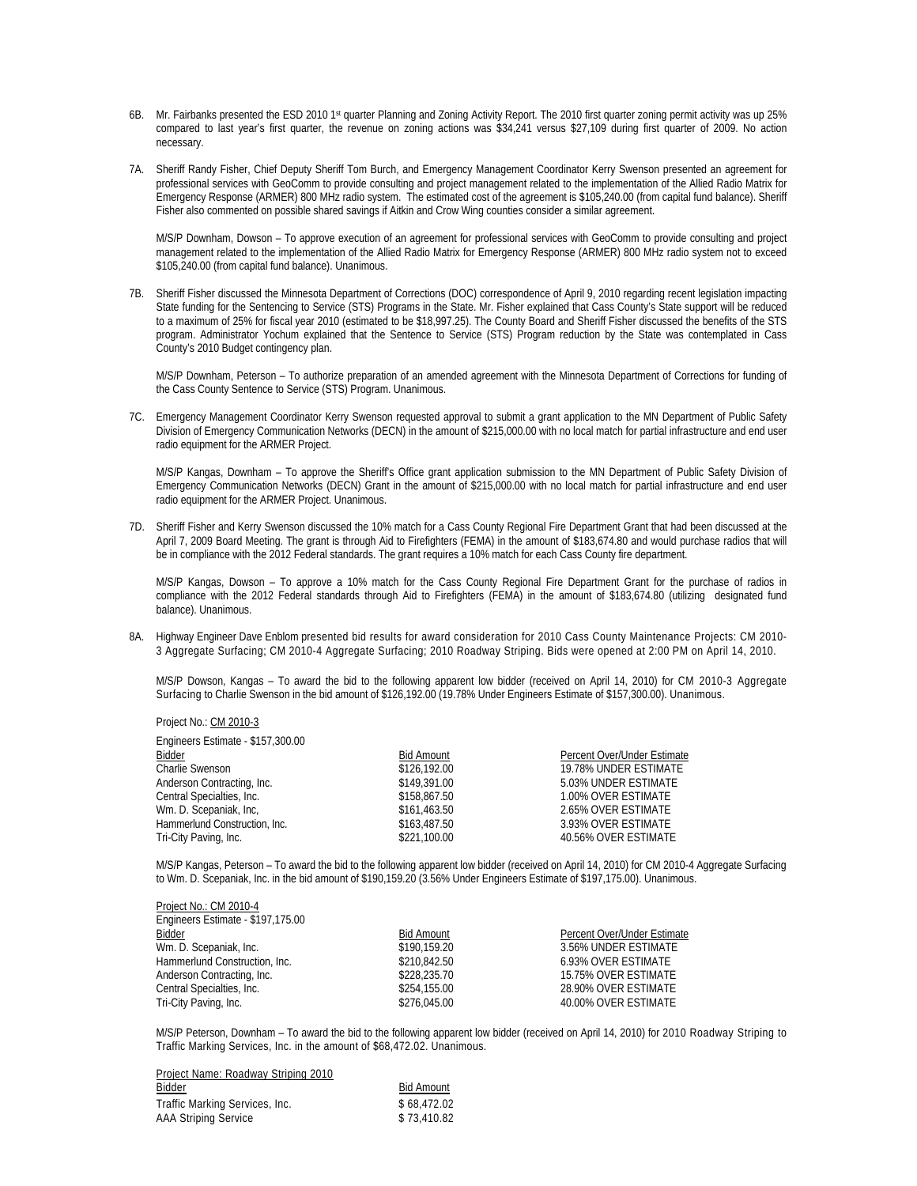- 6B. Mr. Fairbanks presented the ESD 2010 1st quarter Planning and Zoning Activity Report. The 2010 first quarter zoning permit activity was up 25% compared to last year's first quarter, the revenue on zoning actions was \$34,241 versus \$27,109 during first quarter of 2009. No action necessary.
- 7A. Sheriff Randy Fisher, Chief Deputy Sheriff Tom Burch, and Emergency Management Coordinator Kerry Swenson presented an agreement for professional services with GeoComm to provide consulting and project management related to the implementation of the Allied Radio Matrix for Emergency Response (ARMER) 800 MHz radio system. The estimated cost of the agreement is \$105,240.00 (from capital fund balance). Sheriff Fisher also commented on possible shared savings if Aitkin and Crow Wing counties consider a similar agreement.

 M/S/P Downham, Dowson – To approve execution of an agreement for professional services with GeoComm to provide consulting and project management related to the implementation of the Allied Radio Matrix for Emergency Response (ARMER) 800 MHz radio system not to exceed \$105,240.00 (from capital fund balance). Unanimous.

7B. Sheriff Fisher discussed the Minnesota Department of Corrections (DOC) correspondence of April 9, 2010 regarding recent legislation impacting State funding for the Sentencing to Service (STS) Programs in the State. Mr. Fisher explained that Cass County's State support will be reduced to a maximum of 25% for fiscal year 2010 (estimated to be \$18,997.25). The County Board and Sheriff Fisher discussed the benefits of the STS program. Administrator Yochum explained that the Sentence to Service (STS) Program reduction by the State was contemplated in Cass County's 2010 Budget contingency plan.

M/S/P Downham, Peterson – To authorize preparation of an amended agreement with the Minnesota Department of Corrections for funding of the Cass County Sentence to Service (STS) Program. Unanimous.

7C. Emergency Management Coordinator Kerry Swenson requested approval to submit a grant application to the MN Department of Public Safety Division of Emergency Communication Networks (DECN) in the amount of \$215,000.00 with no local match for partial infrastructure and end user radio equipment for the ARMER Project.

 M/S/P Kangas, Downham – To approve the Sheriff's Office grant application submission to the MN Department of Public Safety Division of Emergency Communication Networks (DECN) Grant in the amount of \$215,000.00 with no local match for partial infrastructure and end user radio equipment for the ARMER Project. Unanimous.

7D. Sheriff Fisher and Kerry Swenson discussed the 10% match for a Cass County Regional Fire Department Grant that had been discussed at the April 7, 2009 Board Meeting. The grant is through Aid to Firefighters (FEMA) in the amount of \$183,674.80 and would purchase radios that will be in compliance with the 2012 Federal standards. The grant requires a 10% match for each Cass County fire department.

 M/S/P Kangas, Dowson – To approve a 10% match for the Cass County Regional Fire Department Grant for the purchase of radios in compliance with the 2012 Federal standards through Aid to Firefighters (FEMA) in the amount of \$183,674.80 (utilizing designated fund balance). Unanimous.

8A. Highway Engineer Dave Enblom presented bid results for award consideration for 2010 Cass County Maintenance Projects: CM 2010- 3 Aggregate Surfacing; CM 2010-4 Aggregate Surfacing; 2010 Roadway Striping. Bids were opened at 2:00 PM on April 14, 2010.

M/S/P Dowson, Kangas – To award the bid to the following apparent low bidder (received on April 14, 2010) for CM 2010-3 Aggregate Surfacing to Charlie Swenson in the bid amount of \$126,192.00 (19.78% Under Engineers Estimate of \$157,300.00). Unanimous.

| Project No.: CM 2010-3          |  |
|---------------------------------|--|
| Engineers Estimate \$157,200.00 |  |

Project No.: CM 2010-4

| $L_H$ over $L_H$ of $L_H$ of $L_H$ of $L_H$ of $L_H$ or $L_H$ |                   |                             |
|---------------------------------------------------------------|-------------------|-----------------------------|
| Bidder                                                        | <b>Bid Amount</b> | Percent Over/Under Estimate |
| Charlie Swenson                                               | \$126,192.00      | 19.78% UNDER ESTIMATE       |
| Anderson Contracting, Inc.                                    | \$149,391.00      | 5.03% UNDER ESTIMATE        |
| Central Specialties, Inc.                                     | \$158,867.50      | 1.00% OVER ESTIMATE         |
| Wm. D. Scepaniak, Inc,                                        | \$161,463.50      | 2.65% OVER ESTIMATE         |
| Hammerlund Construction, Inc.                                 | \$163,487.50      | 3.93% OVER ESTIMATE         |
| Tri-City Paving, Inc.                                         | \$221,100.00      | 40.56% OVER ESTIMATE        |
|                                                               |                   |                             |

M/S/P Kangas, Peterson – To award the bid to the following apparent low bidder (received on April 14, 2010) for CM 2010-4 Aggregate Surfacing to Wm. D. Scepaniak, Inc. in the bid amount of \$190,159.20 (3.56% Under Engineers Estimate of \$197,175.00). Unanimous.

| PIUJECTIVO CIVI ZU IU-4           |                   |                             |
|-----------------------------------|-------------------|-----------------------------|
| Engineers Estimate - \$197,175.00 |                   |                             |
| Bidder                            | <b>Bid Amount</b> | Percent Over/Under Estimate |
| Wm. D. Scepaniak, Inc.            | \$190.159.20      | 3.56% UNDER ESTIMATE        |
| Hammerlund Construction, Inc.     | \$210,842.50      | 6.93% OVER ESTIMATE         |
| Anderson Contracting, Inc.        | \$228,235.70      | 15.75% OVER ESTIMATE        |
| Central Specialties, Inc.         | \$254,155.00      | 28.90% OVER ESTIMATE        |
| Tri-City Paving, Inc.             | \$276,045.00      | 40.00% OVER ESTIMATE        |
|                                   |                   |                             |

M/S/P Peterson, Downham – To award the bid to the following apparent low bidder (received on April 14, 2010) for 2010 Roadway Striping to Traffic Marking Services, Inc. in the amount of \$68,472.02. Unanimous.

| Project Name: Roadway Striping 2010 |                   |
|-------------------------------------|-------------------|
| Bidder                              | <b>Bid Amount</b> |
| Traffic Marking Services, Inc.      | \$68,472.02       |
| <b>AAA Striping Service</b>         | \$73,410.82       |